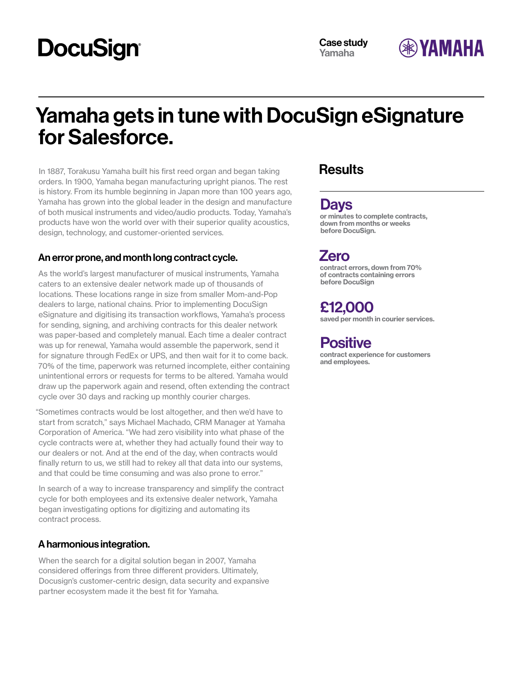# **DocuSign®**



## Yamaha gets in tune with DocuSign eSignature for Salesforce.

In 1887, Torakusu Yamaha built his first reed organ and began taking orders. In 1900, Yamaha began manufacturing upright pianos. The rest is history. From its humble beginning in Japan more than 100 years ago, Yamaha has grown into the global leader in the design and manufacture of both musical instruments and video/audio products. Today, Yamaha's products have won the world over with their superior quality acoustics, design, technology, and customer-oriented services.

#### An error prone, and month long contract cycle.

As the world's largest manufacturer of musical instruments, Yamaha caters to an extensive dealer network made up of thousands of locations. These locations range in size from smaller Mom-and-Pop dealers to large, national chains. Prior to implementing DocuSign eSignature and digitising its transaction workflows, Yamaha's process for sending, signing, and archiving contracts for this dealer network was paper-based and completely manual. Each time a dealer contract was up for renewal, Yamaha would assemble the paperwork, send it for signature through FedEx or UPS, and then wait for it to come back. 70% of the time, paperwork was returned incomplete, either containing unintentional errors or requests for terms to be altered. Yamaha would draw up the paperwork again and resend, often extending the contract cycle over 30 days and racking up monthly courier charges.

"Sometimes contracts would be lost altogether, and then we'd have to start from scratch," says Michael Machado, CRM Manager at Yamaha Corporation of America. "We had zero visibility into what phase of the cycle contracts were at, whether they had actually found their way to our dealers or not. And at the end of the day, when contracts would finally return to us, we still had to rekey all that data into our systems, and that could be time consuming and was also prone to error."

In search of a way to increase transparency and simplify the contract cycle for both employees and its extensive dealer network, Yamaha began investigating options for digitizing and automating its contract process.

### A harmonious integration.

When the search for a digital solution began in 2007, Yamaha considered offerings from three different providers. Ultimately, Docusign's customer-centric design, data security and expansive partner ecosystem made it the best fit for Yamaha.

### **Results**

### Days

or minutes to complete contracts, down from months or weeks before DocuSign.

Zero

contract errors, down from 70% of contracts containing errors before DocuSign

### £12,000

saved per month in courier services.

### **Positive**

contract experience for customers and employees.